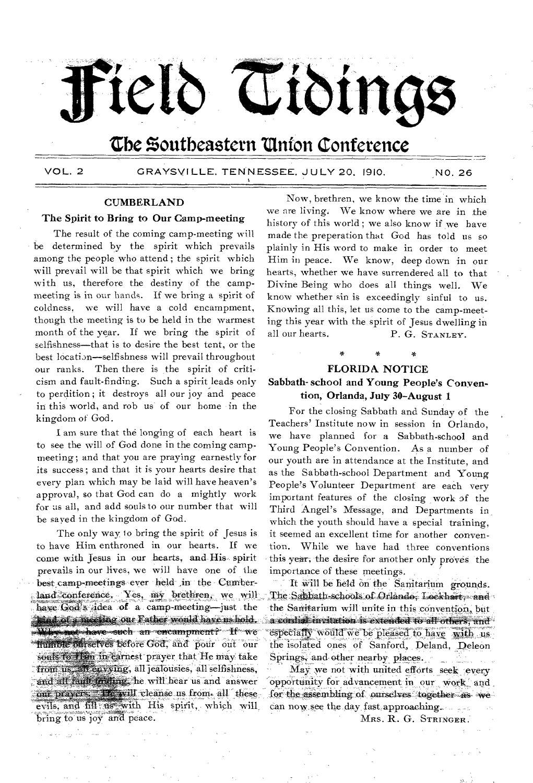

# The Southeastern Union Conference

VOL. 2

GRAYSVILLE, TENNESSEE, JULY 20, 1910.

NO. 26

### **CUMBERLAND**

### The Spirit to Bring to Our Camp-meeting

The result of the coming camp-meeting will be determined by the spirit which prevails among the people who attend; the spirit which will prevail will be that spirit which we bring with us, therefore the destiny of the campmeeting is in our hands. If we bring a spirit of coldness, we will have a cold encampment, though the meeting is to be held in the warmest month of the year. If we bring the spirit of selfishness—that is to desire the best tent, or the best location—selfishness will prevail throughout our ranks. Then there is the spirit of criticism and fault-finding. Such a spirit leads only to perdition; it destroys all our joy and peace in this world, and rob us of our home in the kingdom of God.

I am sure that the longing of each heart is to see the will of God done in the coming campmeeting; and that you are praying earnestly for its success; and that it is your hearts desire that every plan which may be laid will have heaven's approval, so that God can do a mightly work for us all, and add souls to our number that will be sayed in the kingdom of God.

The only way to bring the spirit of Jesus is to have Him enthroned in our hearts. If we come with Jesus in our hearts, and His spirit prevails in our lives, we will have one of the best camp-meetings ever held in the Cumberland conference. Yes, my brethren, we will have God's idea of a camp-meeting-just the and of a meeting our Eather would have us hold. Why not have such an encampment? If we humble offrselves before God, and pour out our souls to flam in earnest prayer that He may take from us, all envying, all jealousies, all selfishness, and all faith friding, he will hear us and answer our prayers. The will cleanse us from all these evils, and fill us with His spirit, which will bring to us joy and peace.

Now, brethren, we know the time in which we are living. We know where we are in the history of this world; we also know if we have made the preperation that God has told us so plainly in His word to make in order to meet Him in peace. We know, deep down in our hearts, whether we have surrendered all to that Divine Being who does all things well. We know whether sin is exceedingly sinful to us. Knowing all this, let us come to the camp-meeting this year with the spirit of Jesus dwelling in all our hearts. P. G. STANLEY.

## **FLORIDA NOTICE**

### Sabbath-school and Young People's Convention, Orlanda, July 30-August 1

For the closing Sabbath and Sunday of the Teachers' Institute now in session in Orlando. we have planned for a Sabbath-school and Young People's Convention. As a number of our youth are in attendance at the Institute, and as the Sabbath-school Department and Young People's Volunteer Department are each very important features of the closing work of the Third Angel's Message, and Departments in which the youth should have a special training, it seemed an excellent time for another convention. While we have had three conventions this year, the desire for another only proves the importance of these meetings.

It will be held on the Samitarium grounds. The Sabbath-schools of Orlando, Lockhart, and the Sanitarium will unite in this convention, but a condide invitation is extended to all others, and especially would we be pleased to have with usthe isolated ones of Sanford, Deland, Deleon Springs, and other nearby places. ر<br>د د میشا

May we not with united efforts seek every opportunity for advancement in our work and. for the assembling of ourselves together as we can now see the day fast approaching.

MRS. R. G. STRINGER.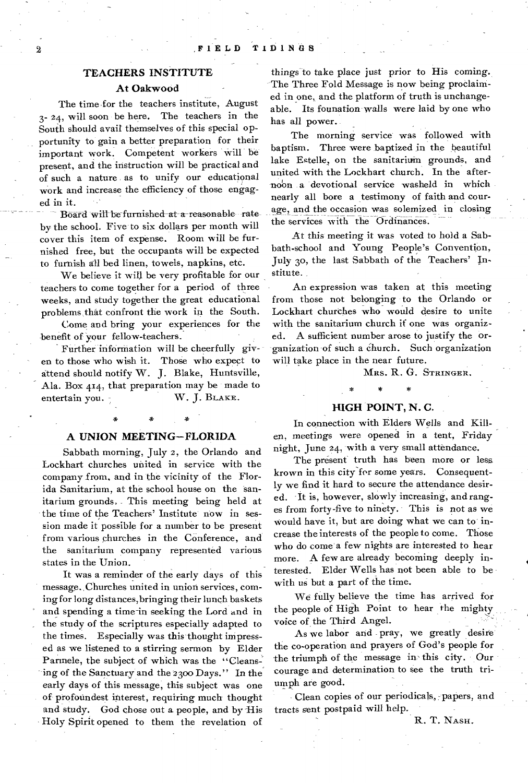### **TEACHERS INSTITUTE**

### **At Oakwood**

The time, for the teachers institute, August 3- 24, will soon be here. The teachers in the South should avail themselves of this special opportunity to gain a better preparation for their important work. Competent workers will be present, and the instruction will be practical and of such a nature as to unify our educational work and increase the efficiency of those engaged in it.

Board will be furnished at a reasonable rate by the school. Five to six dollars per month will cover this item of expense. Room will be furnished free, but the occupants will be expected to furnish all bed linen, towels, napkins, etc.

We believe it will be very profitable for our teachers to come together for a period of three weeks, and study together the great educational problems, that confront the work in the South.

Come and bring your experiences for the benefit of your fellow-teachers.

Further information will be cheerfully given to those who wish it. Those who expect to attend should notify W. J. Blake, Huntsville, Ala. Box 414, that preparation may be made to entertain you. W. J. BLAKE.

### **A UNION MEETING—FLORIDA**

Sabbath morning, July 2, the Orlando and Lockhart churches united in service with the company from, and in the vicinity of the Florida Sanitarium, at the school house on the sanitarium grounds, This meeting being held at the time of the Teachers' Institute now in session made it possible for a number to be present from various churches in the Conference, and the sanitarium company represented various states in the Union.

It was a reminder of the early days of this message. Churches united in union services, coming for long distances, bringing their lunch baskets and spending a time-in seeking the Lord and in the study of the scriptures especially adapted to the times. Especially was this thought impressed as we listened to a stirring sermon by Elder Parinele, the subject of which was the "Cleansing of the Sanctuary and the 2300 Days." In the early days of this message, this subject was one of profoundest interest, requiring much thought and study. God chose out a people, and by His Holy Spirit opened to them the revelation of

things to take place just prior to His coming. The Three Fold Message is now being proclaimed in one, and the platform of truth is unchangeable. Its founation walls were laid by one who has all power.

The morning service was followed with baptism. Three were baptized in the beautiful lake Estelle, on the sanitarium grounds, and united with the Lockhart church. In the afternoon a devotional service washeld in which nearly all bore a testimony of faith and courage, and the occasion was solemized in closing the services with the Ordinances.

At this *meeting* it was voted to hold a Sabbath-school and Young People's Convention, July 30, the last Sabbath of the Teachers' Institute.

An expression was taken at this meeting from those not belonging to the Orlando or Lockhart churches who would desire to unite with the sanitarium church if one was organized. A sufficient number arose to justify the organization of such a Church. Such organization will take place in the near future.

MRS. **R.** G. STRINGER.

### **HIGH POINT, N. C.**

\* \*

In connection with Elders Wells and Killen, meetings were opened in a tent, Friday night, June 24, with a very small attendance.

The present truth has been more or less krown in this city-for some years. Consequently we find it hard to secure the attendance desired. It is, however, slowly increasing, and ranges from forty-five to ninety. This is not as we would have it, but are doing what we can to increase the interests of the people to come. Those who do come a few nights are interested to hear more. A few are already becoming deeply interested. Elder Wells has not been able to be with us but a part of the time.

We fully believe the time has arrived for the people of High Point to hear the mighty voice of the Third Angel.

As we labor and pray, we greatly desire the co-operation and prayers of God's people for the triumph of the message in' this city. Our courage and determination to see the truth triumph are good.

Clean copies of our periodicals, papers, and tracts sent postpaid will help.

R. T. NASH.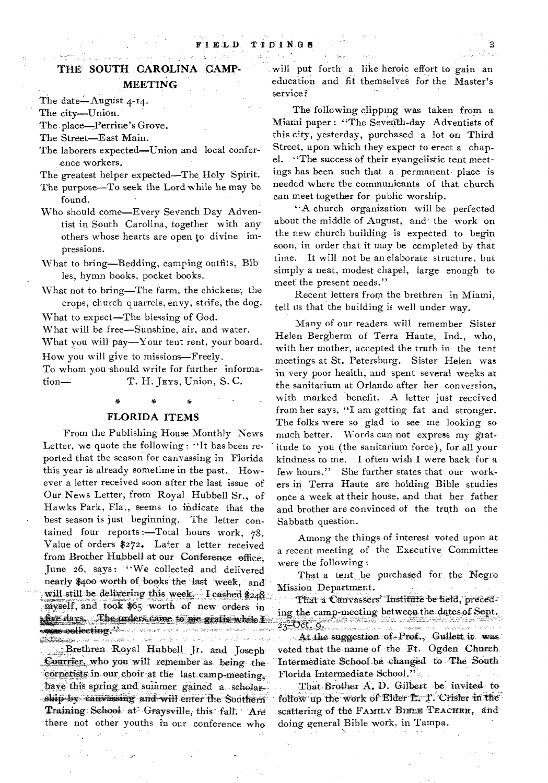## **THE SOUTH CAROLINA CAMP-MEETING**

The date—August 4-14.

The city—Union.

The place-Perrine's Grove.

The Street—East Main.

The laborers expected—Union and local conference workers.

The greatest helper expected—The, Holy Spirit.

- The purpose—To seek the Lord while he may be found.
- Who should come—Every Seventh Day Adventist in South Carolina, together with any others whose hearts are open to divine impressions.
- What to bring—Bedding, camping outfits, Bib les, hymn books, pocket books.
- What not to bring—The farm, the chickens, the crops, church quarrels, envy, strife, the dog.

What to expect—The blessing of God.

What will be free—Sunshine, air, and water.

What you will pay—Your tent rent, your board.

How you will give to missions—Freely.

To whom you should write for further information— T. H. JEvs, Union, S. C.

### **FLORIDA ITEMS**

From the Publishing House Monthly News Letter, we quote the following : "It has been reported that the season for canvassing in Florida this year is already sometime in the past. However a letter received soon after the last issue of Our News Letter, from Royal Hubbell Sr., of Hawks Park, Fla., seems to indicate that the best season is just beginning. The letter contained four reports :—Total hours work, 78. yalue of orders \$272. Later a letter received from Brother Hubbell at our Conference office. June 26, says: "We collected and delivered nearly \$400 worth of books the last week, and will still be delivering this week.  $\frac{1}{248}$ myself, and took \$65 worth of new orders in five days. The orders came to me gratis while I **- Alecting** News were already to heaven the man on the أقوانهم بالمعانية أكريا مواديا الرواديا للأني •-• Brethren Royal Ni4bbell, Jr. and Joseph' Courrier, who you will remember as being thecornetists in our choir-at the last camp-meeting. have this spring and summer gained a scholarship by canvassing and will enter the Southern Training School at Graysville, this fall. Are there not other youths in our conference who

will put forth a like heroic effort to gain an education and fit themselves for the Master's service?

The following clipping was taken from a Miami paper : "The Seventh-day Adventists of this city, yesterday, purchased a lot on Third Street, upon which they expect to erect a chapel. "The success of their evangelistic tent meetings has been such that a permanent place is needed where the communicants of 'that church can meet together for public worship.

"A church organization will be perfected about the middle of August, and-the work on the new church building is expected to begin soon, in order that it may be completed by that time. It will not be an elaborate structure, but simply a neat, modest chapel, large enough to meet the present needs."

Recent letters from the brethren in Miami, tell us that the building is well under way.

Many of our readers will remember Sister Helen Bergherm of Terra Haute, Ind., who, with her mother, accepted the truth in the tent meetings at St. Petersburg. Sister Helen was in very poor health, and spent -several weeks at the sanitarium at Orlando after her conversion, with marked benefit. A letter just received from her says, "I am getting fat and stronger. The folks were so glad to see me looking so much better. Words can not express my gratitude to you (the sanitarium force), for all your kindness to me. I often wish I were back for a few hours." She further states that our workers in Terra Haute are holding Bible studies once a week at their house, and that her father and brother are convinced of the truth on the Sabbath question.

Among the things of interest voted upon at a recent meeting of the Executive Committee were the following :

That a tent be purchased for the Negro Mission Department.:

That a Canvassers' Institute be held, preceding the camp-meeting between the dates of Sept. **RALLA LUELA ANALE** 

manuscription of the At the suggestion of-Prof., Gullett it was voted that the name of the Ft. Ogden Church. Intermediate School be changed to The South Florida Intermediate School."

That Brother A. D. Gilbert be invited to follow up the work of Elder L. T. Crister in the scattering of the FAMILY BIBLE TEACHER, and doing general Bible work, in Tampa.